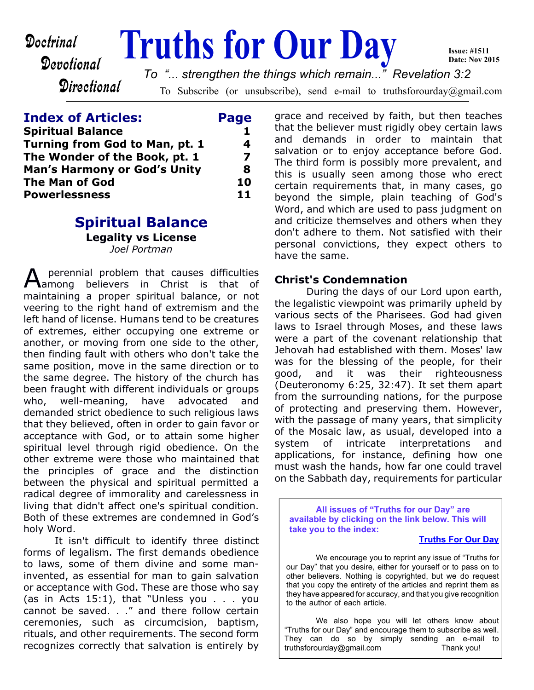# Devotional

**Doctrinal Truths for Our Day Date: Nov 2015** *To "... strengthen the things which remain..." Revelation 3:2*

**Directional** 

To Subscribe (or unsubscribe), send e-mail to truthsforourday@gmail.com

## **Index of Articles: Page**

| 8  |
|----|
| 10 |
| 11 |
|    |

#### **Spiritual Balance Legality vs License** *Joel Portman*

A perennial problem that causes difficulties among believers in Christ is that of maintaining a proper spiritual balance, or not veering to the right hand of extremism and the left hand of license. Humans tend to be creatures of extremes, either occupying one extreme or another, or moving from one side to the other, then finding fault with others who don't take the same position, move in the same direction or to the same degree. The history of the church has been fraught with different individuals or groups who, well-meaning, have advocated and demanded strict obedience to such religious laws that they believed, often in order to gain favor or acceptance with God, or to attain some higher spiritual level through rigid obedience. On the other extreme were those who maintained that the principles of grace and the distinction between the physical and spiritual permitted a radical degree of immorality and carelessness in living that didn't affect one's spiritual condition. Both of these extremes are condemned in God's holy Word.

 It isn't difficult to identify three distinct forms of legalism. The first demands obedience to laws, some of them divine and some maninvented, as essential for man to gain salvation or acceptance with God. These are those who say (as in Acts 15:1), that "Unless you . . . you cannot be saved. . ." and there follow certain ceremonies, such as circumcision, baptism, rituals, and other requirements. The second form recognizes correctly that salvation is entirely by grace and received by faith, but then teaches that the believer must rigidly obey certain laws and demands in order to maintain that salvation or to enjoy acceptance before God. The third form is possibly more prevalent, and this is usually seen among those who erect certain requirements that, in many cases, go beyond the simple, plain teaching of God's Word, and which are used to pass judgment on and criticize themselves and others when they don't adhere to them. Not satisfied with their personal convictions, they expect others to have the same.

**Issue: #1511**

## **Christ's Condemnation**

During the days of our Lord upon earth, the legalistic viewpoint was primarily upheld by various sects of the Pharisees. God had given laws to Israel through Moses, and these laws were a part of the covenant relationship that Jehovah had established with them. Moses' law was for the blessing of the people, for their good, and it was their righteousness (Deuteronomy 6:25, 32:47). It set them apart from the surrounding nations, for the purpose of protecting and preserving them. However, with the passage of many years, that simplicity of the Mosaic law, as usual, developed into a system of intricate interpretations and applications, for instance, defining how one must wash the hands, how far one could travel on the Sabbath day, requirements for particular

**All issues of "Truths for our Day" are available by clicking on the link below. This will take you to the index:**

#### **[Truths For Our Day](http://truthsforourday.com)**

 We encourage you to reprint any issue of "Truths for our Day" that you desire, either for yourself or to pass on to other believers. Nothing is copyrighted, but we do request that you copy the entirety of the articles and reprint them as they have appeared for accuracy, and that you give recognition to the author of each article.

 We also hope you will let others know about "Truths for our Day" and encourage them to subscribe as well. They can do so by simply sending an e-mail to truthsforourday@gmail.com Thank you!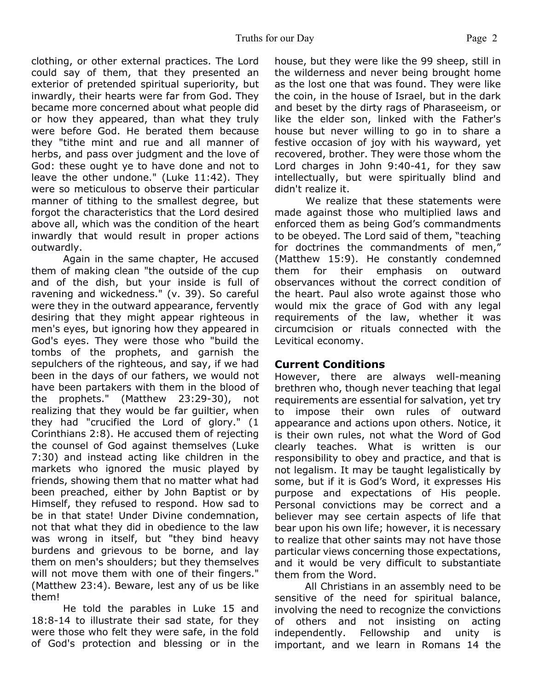clothing, or other external practices. The Lord could say of them, that they presented an exterior of pretended spiritual superiority, but inwardly, their hearts were far from God. They became more concerned about what people did or how they appeared, than what they truly were before God. He berated them because they "tithe mint and rue and all manner of herbs, and pass over judgment and the love of God: these ought ye to have done and not to leave the other undone." (Luke 11:42). They were so meticulous to observe their particular manner of tithing to the smallest degree, but forgot the characteristics that the Lord desired above all, which was the condition of the heart inwardly that would result in proper actions outwardly.

Again in the same chapter, He accused them of making clean "the outside of the cup and of the dish, but your inside is full of ravening and wickedness." (v. 39). So careful were they in the outward appearance, fervently desiring that they might appear righteous in men's eyes, but ignoring how they appeared in God's eyes. They were those who "build the tombs of the prophets, and garnish the sepulchers of the righteous, and say, if we had been in the days of our fathers, we would not have been partakers with them in the blood of the prophets." (Matthew 23:29-30), not realizing that they would be far guiltier, when they had "crucified the Lord of glory." (1 Corinthians 2:8). He accused them of rejecting the counsel of God against themselves (Luke 7:30) and instead acting like children in the markets who ignored the music played by friends, showing them that no matter what had been preached, either by John Baptist or by Himself, they refused to respond. How sad to be in that state! Under Divine condemnation, not that what they did in obedience to the law was wrong in itself, but "they bind heavy burdens and grievous to be borne, and lay them on men's shoulders; but they themselves will not move them with one of their fingers." (Matthew 23:4). Beware, lest any of us be like them!

He told the parables in Luke 15 and 18:8-14 to illustrate their sad state, for they were those who felt they were safe, in the fold of God's protection and blessing or in the

house, but they were like the 99 sheep, still in the wilderness and never being brought home as the lost one that was found. They were like the coin, in the house of Israel, but in the dark and beset by the dirty rags of Pharaseeism, or like the elder son, linked with the Father's house but never willing to go in to share a festive occasion of joy with his wayward, yet recovered, brother. They were those whom the Lord charges in John 9:40-41, for they saw intellectually, but were spiritually blind and didn't realize it.

 We realize that these statements were made against those who multiplied laws and enforced them as being God's commandments to be obeyed. The Lord said of them, "teaching for doctrines the commandments of men," (Matthew 15:9). He constantly condemned them for their emphasis on outward observances without the correct condition of the heart. Paul also wrote against those who would mix the grace of God with any legal requirements of the law, whether it was circumcision or rituals connected with the Levitical economy.

#### **Current Conditions**

However, there are always well-meaning brethren who, though never teaching that legal requirements are essential for salvation, yet try to impose their own rules of outward appearance and actions upon others. Notice, it is their own rules, not what the Word of God clearly teaches. What is written is our responsibility to obey and practice, and that is not legalism. It may be taught legalistically by some, but if it is God's Word, it expresses His purpose and expectations of His people. Personal convictions may be correct and a believer may see certain aspects of life that bear upon his own life; however, it is necessary to realize that other saints may not have those particular views concerning those expectations, and it would be very difficult to substantiate them from the Word.

 All Christians in an assembly need to be sensitive of the need for spiritual balance, involving the need to recognize the convictions of others and not insisting on acting independently. Fellowship and unity is important, and we learn in Romans 14 the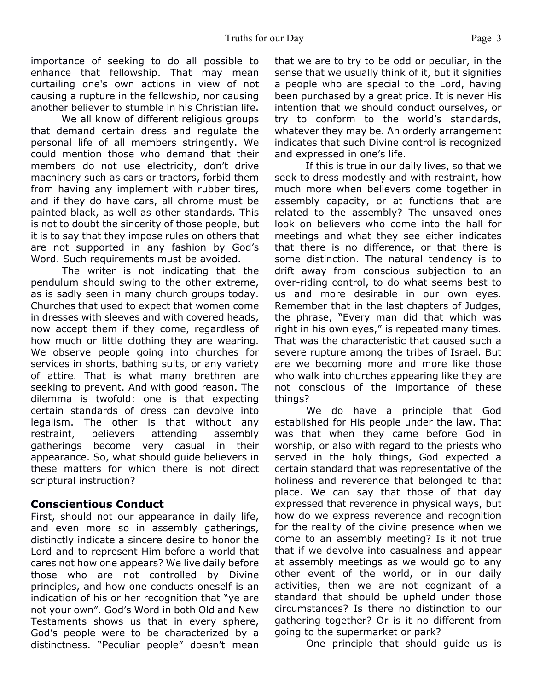importance of seeking to do all possible to enhance that fellowship. That may mean curtailing one's own actions in view of not causing a rupture in the fellowship, nor causing another believer to stumble in his Christian life.

We all know of different religious groups that demand certain dress and regulate the personal life of all members stringently. We could mention those who demand that their members do not use electricity, don't drive machinery such as cars or tractors, forbid them from having any implement with rubber tires, and if they do have cars, all chrome must be painted black, as well as other standards. This is not to doubt the sincerity of those people, but it is to say that they impose rules on others that are not supported in any fashion by God's Word. Such requirements must be avoided.

 The writer is not indicating that the pendulum should swing to the other extreme, as is sadly seen in many church groups today. Churches that used to expect that women come in dresses with sleeves and with covered heads, now accept them if they come, regardless of how much or little clothing they are wearing. We observe people going into churches for services in shorts, bathing suits, or any variety of attire. That is what many brethren are seeking to prevent. And with good reason. The dilemma is twofold: one is that expecting certain standards of dress can devolve into legalism. The other is that without any restraint, believers attending assembly gatherings become very casual in their appearance. So, what should guide believers in these matters for which there is not direct scriptural instruction?

#### **Conscientious Conduct**

First, should not our appearance in daily life, and even more so in assembly gatherings, distinctly indicate a sincere desire to honor the Lord and to represent Him before a world that cares not how one appears? We live daily before those who are not controlled by Divine principles, and how one conducts oneself is an indication of his or her recognition that "ye are not your own". God's Word in both Old and New Testaments shows us that in every sphere, God's people were to be characterized by a distinctness. "Peculiar people" doesn't mean

that we are to try to be odd or peculiar, in the sense that we usually think of it, but it signifies a people who are special to the Lord, having been purchased by a great price. It is never His intention that we should conduct ourselves, or try to conform to the world's standards, whatever they may be. An orderly arrangement indicates that such Divine control is recognized and expressed in one's life.

 If this is true in our daily lives, so that we seek to dress modestly and with restraint, how much more when believers come together in assembly capacity, or at functions that are related to the assembly? The unsaved ones look on believers who come into the hall for meetings and what they see either indicates that there is no difference, or that there is some distinction. The natural tendency is to drift away from conscious subjection to an over-riding control, to do what seems best to us and more desirable in our own eyes. Remember that in the last chapters of Judges, the phrase, "Every man did that which was right in his own eyes," is repeated many times. That was the characteristic that caused such a severe rupture among the tribes of Israel. But are we becoming more and more like those who walk into churches appearing like they are not conscious of the importance of these things?

 We do have a principle that God established for His people under the law. That was that when they came before God in worship, or also with regard to the priests who served in the holy things, God expected a certain standard that was representative of the holiness and reverence that belonged to that place. We can say that those of that day expressed that reverence in physical ways, but how do we express reverence and recognition for the reality of the divine presence when we come to an assembly meeting? Is it not true that if we devolve into casualness and appear at assembly meetings as we would go to any other event of the world, or in our daily activities, then we are not cognizant of a standard that should be upheld under those circumstances? Is there no distinction to our gathering together? Or is it no different from going to the supermarket or park?

One principle that should guide us is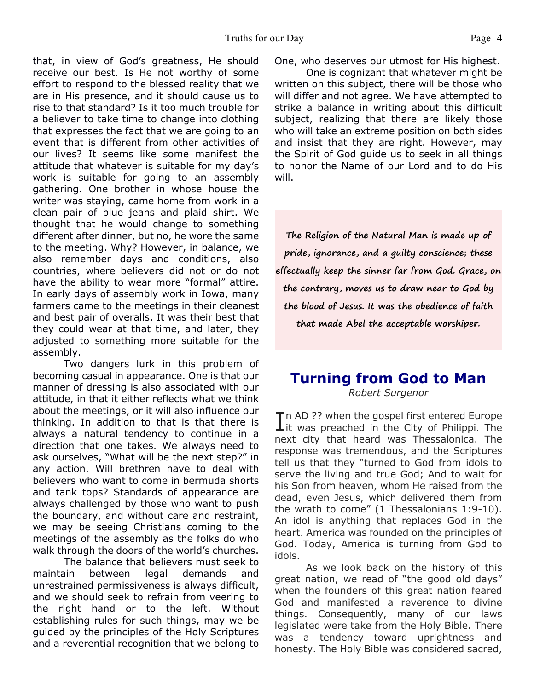that, in view of God's greatness, He should receive our best. Is He not worthy of some effort to respond to the blessed reality that we are in His presence, and it should cause us to rise to that standard? Is it too much trouble for a believer to take time to change into clothing that expresses the fact that we are going to an event that is different from other activities of our lives? It seems like some manifest the attitude that whatever is suitable for my day's work is suitable for going to an assembly gathering. One brother in whose house the writer was staying, came home from work in a clean pair of blue jeans and plaid shirt. We thought that he would change to something different after dinner, but no, he wore the same to the meeting. Why? However, in balance, we also remember days and conditions, also countries, where believers did not or do not have the ability to wear more "formal" attire. In early days of assembly work in Iowa, many farmers came to the meetings in their cleanest and best pair of overalls. It was their best that they could wear at that time, and later, they adjusted to something more suitable for the assembly.

 Two dangers lurk in this problem of becoming casual in appearance. One is that our manner of dressing is also associated with our attitude, in that it either reflects what we think about the meetings, or it will also influence our thinking. In addition to that is that there is always a natural tendency to continue in a direction that one takes. We always need to ask ourselves, "What will be the next step?" in any action. Will brethren have to deal with believers who want to come in bermuda shorts and tank tops? Standards of appearance are always challenged by those who want to push the boundary, and without care and restraint, we may be seeing Christians coming to the meetings of the assembly as the folks do who walk through the doors of the world's churches.

 The balance that believers must seek to maintain between legal demands and unrestrained permissiveness is always difficult, and we should seek to refrain from veering to the right hand or to the left. Without establishing rules for such things, may we be guided by the principles of the Holy Scriptures and a reverential recognition that we belong to One, who deserves our utmost for His highest.

 One is cognizant that whatever might be written on this subject, there will be those who will differ and not agree. We have attempted to strike a balance in writing about this difficult subject, realizing that there are likely those who will take an extreme position on both sides and insist that they are right. However, may the Spirit of God guide us to seek in all things to honor the Name of our Lord and to do His will.

**The Religion of the Natural Man is made up of pride, ignorance, and a guilty conscience; these effectually keep the sinner far from God. Grace, on the contrary, moves us to draw near to God by the blood of Jesus. It was the obedience of faith that made Abel the acceptable worshiper.**

## **Turning from God to Man** *Robert Surgenor*

In AD ?? when the gospel first entered Europe<br>it was preached in the City of Philippi. The Tn AD ?? when the gospel first entered Europe next city that heard was Thessalonica. The response was tremendous, and the Scriptures tell us that they "turned to God from idols to serve the living and true God; And to wait for his Son from heaven, whom He raised from the dead, even Jesus, which delivered them from the wrath to come" (1 Thessalonians 1:9-10). An idol is anything that replaces God in the heart. America was founded on the principles of God. Today, America is turning from God to idols.

 As we look back on the history of this great nation, we read of "the good old days" when the founders of this great nation feared God and manifested a reverence to divine things. Consequently, many of our laws legislated were take from the Holy Bible. There was a tendency toward uprightness and honesty. The Holy Bible was considered sacred,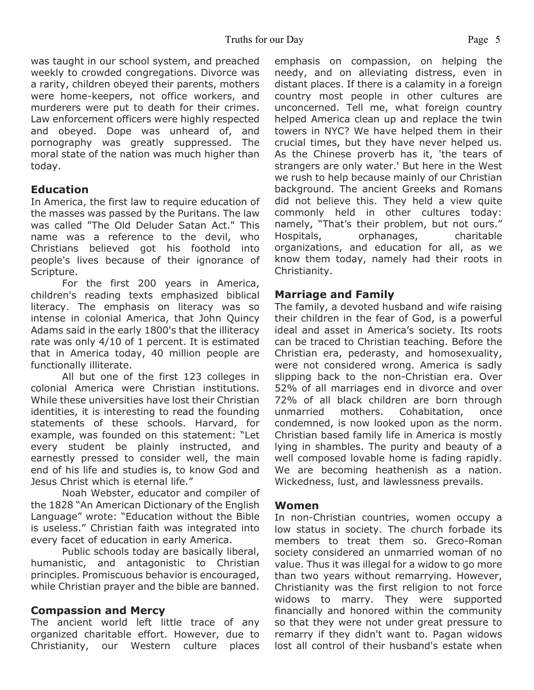was taught in our school system, and preached weekly to crowded congregations. Divorce was a rarity, children obeyed their parents, mothers were home-keepers, not office workers, and murderers were put to death for their crimes. Law enforcement officers were highly respected and obeyed. Dope was unheard of, and pornography was greatly suppressed. The moral state of the nation was much higher than today.

#### **Education**

In America, the first law to require education of the masses was passed by the Puritans. The law was called "The Old Deluder Satan Act." This name was a reference to the devil, who Christians believed got his foothold into people's lives because of their ignorance of Scripture.

 For the first 200 years in America, children's reading texts emphasized biblical literacy. The emphasis on literacy was so intense in colonial America, that John Quincy Adams said in the early 1800's that the illiteracy rate was only 4/10 of 1 percent. It is estimated that in America today, 40 million people are functionally illiterate.

 All but one of the first 123 colleges in colonial America were Christian institutions. While these universities have lost their Christian identities, it is interesting to read the founding statements of these schools. Harvard, for example, was founded on this statement: "Let every student be plainly instructed, and earnestly pressed to consider well, the main end of his life and studies is, to know God and Jesus Christ which is eternal life."

 Noah Webster, educator and compiler of the 1828 "An American Dictionary of the English Language" wrote: "Education without the Bible is useless." Christian faith was integrated into every facet of education in early America.

 Public schools today are basically liberal, humanistic, and antagonistic to Christian principles. Promiscuous behavior is encouraged, while Christian prayer and the bible are banned.

#### **Compassion and Mercy**

The ancient world left little trace of any organized charitable effort. However, due to Christianity, our Western culture places emphasis on compassion, on helping the needy, and on alleviating distress, even in distant places. If there is a calamity in a foreign country most people in other cultures are unconcerned. Tell me, what foreign country helped America clean up and replace the twin towers in NYC? We have helped them in their crucial times, but they have never helped us. As the Chinese proverb has it, 'the tears of strangers are only water.' But here in the West we rush to help because mainly of our Christian background. The ancient Greeks and Romans did not believe this. They held a view quite commonly held in other cultures today: namely, "That's their problem, but not ours." Hospitals, orphanages, charitable organizations, and education for all, as we know them today, namely had their roots in Christianity.

#### **Marriage and Family**

The family, a devoted husband and wife raising their children in the fear of God, is a powerful ideal and asset in America's society. Its roots can be traced to Christian teaching. Before the Christian era, pederasty, and homosexuality, were not considered wrong. America is sadly slipping back to the non-Christian era. Over 52% of all marriages end in divorce and over 72% of all black children are born through unmarried mothers. Cohabitation, once condemned, is now looked upon as the norm. Christian based family life in America is mostly lying in shambles. The purity and beauty of a well composed lovable home is fading rapidly. We are becoming heathenish as a nation. Wickedness, lust, and lawlessness prevails.

#### **Women**

In non-Christian countries, women occupy a low status in society. The church forbade its members to treat them so. Greco-Roman society considered an unmarried woman of no value. Thus it was illegal for a widow to go more than two years without remarrying. However, Christianity was the first religion to not force widows to marry. They were supported financially and honored within the community so that they were not under great pressure to remarry if they didn't want to. Pagan widows lost all control of their husband's estate when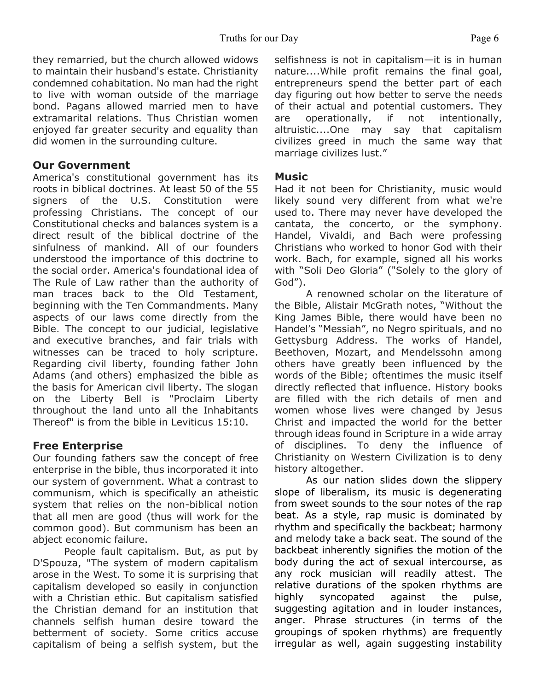they remarried, but the church allowed widows to maintain their husband's estate. Christianity condemned cohabitation. No man had the right to live with woman outside of the marriage bond. Pagans allowed married men to have extramarital relations. Thus Christian women enjoyed far greater security and equality than did women in the surrounding culture.

#### **Our Government**

America's constitutional government has its roots in biblical doctrines. At least 50 of the 55 signers of the U.S. Constitution were professing Christians. The concept of our Constitutional checks and balances system is a direct result of the biblical doctrine of the sinfulness of mankind. All of our founders understood the importance of this doctrine to the social order. America's foundational idea of The Rule of Law rather than the authority of man traces back to the Old Testament, beginning with the Ten Commandments. Many aspects of our laws come directly from the Bible. The concept to our judicial, legislative and executive branches, and fair trials with witnesses can be traced to holy scripture. Regarding civil liberty, founding father John Adams (and others) emphasized the bible as the basis for American civil liberty. The slogan on the Liberty Bell is "Proclaim Liberty throughout the land unto all the Inhabitants Thereof" is from the bible in Leviticus 15:10.

#### **Free Enterprise**

Our founding fathers saw the concept of free enterprise in the bible, thus incorporated it into our system of government. What a contrast to communism, which is specifically an atheistic system that relies on the non-biblical notion that all men are good (thus will work for the common good). But communism has been an abject economic failure.

 People fault capitalism. But, as put by D'Spouza, "The system of modern capitalism arose in the West. To some it is surprising that capitalism developed so easily in conjunction with a Christian ethic. But capitalism satisfied the Christian demand for an institution that channels selfish human desire toward the betterment of society. Some critics accuse capitalism of being a selfish system, but the selfishness is not in capitalism—it is in human nature....While profit remains the final goal, entrepreneurs spend the better part of each day figuring out how better to serve the needs of their actual and potential customers. They are operationally, if not intentionally, altruistic....One may say that capitalism civilizes greed in much the same way that marriage civilizes lust."

#### **Music**

Had it not been for Christianity, music would likely sound very different from what we're used to. There may never have developed the cantata, the concerto, or the symphony. Handel, Vivaldi, and Bach were professing Christians who worked to honor God with their work. Bach, for example, signed all his works with "Soli Deo Gloria" ("Solely to the glory of God").

 A renowned scholar on the literature of the Bible, Alistair McGrath notes, "Without the King James Bible, there would have been no Handel's "Messiah", no Negro spirituals, and no Gettysburg Address. The works of Handel, Beethoven, Mozart, and Mendelssohn among others have greatly been influenced by the words of the Bible; oftentimes the music itself directly reflected that influence. History books are filled with the rich details of men and women whose lives were changed by Jesus Christ and impacted the world for the better through ideas found in Scripture in a wide array of disciplines. To deny the influence of Christianity on Western Civilization is to deny history altogether.

 As our nation slides down the slippery slope of liberalism, its music is degenerating from sweet sounds to the sour notes of the rap beat. As a style, rap music is dominated by rhythm and specifically the backbeat; harmony and melody take a back seat. The sound of the backbeat inherently signifies the motion of the body during the act of sexual intercourse, as any rock musician will readily attest. The relative durations of the spoken rhythms are highly syncopated against the pulse, suggesting agitation and in louder instances, anger. Phrase structures (in terms of the groupings of spoken rhythms) are frequently irregular as well, again suggesting instability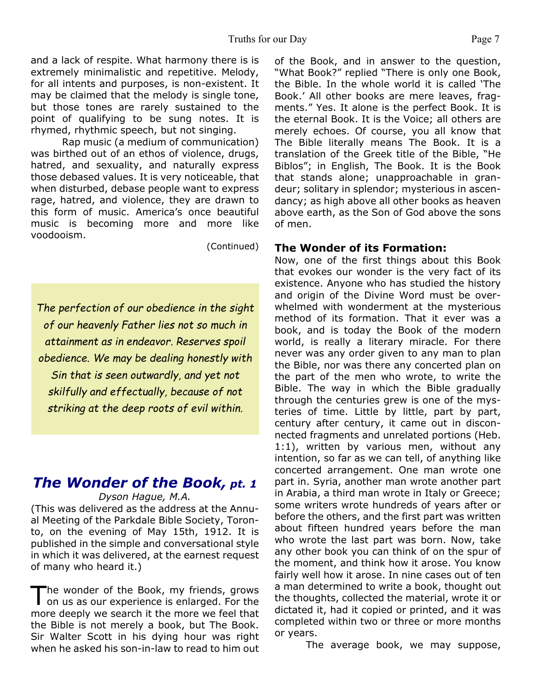and a lack of respite. What harmony there is is extremely minimalistic and repetitive. Melody, for all intents and purposes, is non-existent. It may be claimed that the melody is single tone, but those tones are rarely sustained to the point of qualifying to be sung notes. It is rhymed, rhythmic speech, but not singing.

 Rap music (a medium of communication) was birthed out of an ethos of violence, drugs, hatred, and sexuality, and naturally express those debased values. It is very noticeable, that when disturbed, debase people want to express rage, hatred, and violence, they are drawn to this form of music. America's once beautiful music is becoming more and more like voodooism.

(Continued)

*The perfection of our obedience in the sight of our heavenly Father lies not so much in attainment as in endeavor. Reserves spoil obedience. We may be dealing honestly with Sin that is seen outwardly, and yet not skilfully and effectually, because of not striking at the deep roots of evil within.*

# *The Wonder of the Book, pt. 1*

*Dyson Hague, M.A.*

(This was delivered as the address at the Annual Meeting of the Parkdale Bible Society, Toronto, on the evening of May 15th, 1912. It is published in the simple and conversational style in which it was delivered, at the earnest request of many who heard it.)

The wonder of the Book, my friends, grows<br>on us as our experience is enlarged. For the he wonder of the Book, my friends, grows more deeply we search it the more we feel that the Bible is not merely a book, but The Book. Sir Walter Scott in his dying hour was right when he asked his son-in-law to read to him out

of the Book, and in answer to the question, "What Book?" replied "There is only one Book, the Bible. In the whole world it is called 'The Book.' All other books are mere leaves, fragments." Yes. It alone is the perfect Book. It is the eternal Book. It is the Voice; all others are merely echoes. Of course, you all know that The Bible literally means The Book. It is a translation of the Greek title of the Bible, "He Biblos"; in English, The Book. It is the Book that stands alone; unapproachable in grandeur; solitary in splendor; mysterious in ascendancy; as high above all other books as heaven above earth, as the Son of God above the sons of men.

#### **The Wonder of its Formation:**

Now, one of the first things about this Book that evokes our wonder is the very fact of its existence. Anyone who has studied the history and origin of the Divine Word must be overwhelmed with wonderment at the mysterious method of its formation. That it ever was a book, and is today the Book of the modern world, is really a literary miracle. For there never was any order given to any man to plan the Bible, nor was there any concerted plan on the part of the men who wrote, to write the Bible. The way in which the Bible gradually through the centuries grew is one of the mysteries of time. Little by little, part by part, century after century, it came out in disconnected fragments and unrelated portions (Heb. 1:1), written by various men, without any intention, so far as we can tell, of anything like concerted arrangement. One man wrote one part in. Syria, another man wrote another part in Arabia, a third man wrote in Italy or Greece; some writers wrote hundreds of years after or before the others, and the first part was written about fifteen hundred years before the man who wrote the last part was born. Now, take any other book you can think of on the spur of the moment, and think how it arose. You know fairly well how it arose. In nine cases out of ten a man determined to write a book, thought out the thoughts, collected the material, wrote it or dictated it, had it copied or printed, and it was completed within two or three or more months or years.

The average book, we may suppose,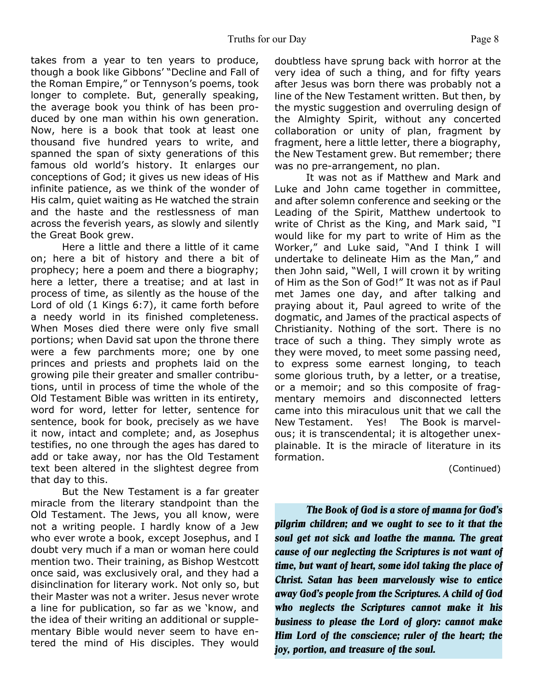takes from a year to ten years to produce, though a book like Gibbons' "Decline and Fall of the Roman Empire," or Tennyson's poems, took longer to complete. But, generally speaking, the average book you think of has been produced by one man within his own generation. Now, here is a book that took at least one thousand five hundred years to write, and spanned the span of sixty generations of this famous old world's history. It enlarges our conceptions of God; it gives us new ideas of His infinite patience, as we think of the wonder of His calm, quiet waiting as He watched the strain and the haste and the restlessness of man across the feverish years, as slowly and silently the Great Book grew.

 Here a little and there a little of it came on; here a bit of history and there a bit of prophecy; here a poem and there a biography; here a letter, there a treatise; and at last in process of time, as silently as the house of the Lord of old (1 Kings 6:7), it came forth before a needy world in its finished completeness. When Moses died there were only five small portions; when David sat upon the throne there were a few parchments more; one by one princes and priests and prophets laid on the growing pile their greater and smaller contributions, until in process of time the whole of the Old Testament Bible was written in its entirety, word for word, letter for letter, sentence for sentence, book for book, precisely as we have it now, intact and complete; and, as Josephus testifies, no one through the ages has dared to add or take away, nor has the Old Testament text been altered in the slightest degree from that day to this.

 But the New Testament is a far greater miracle from the literary standpoint than the Old Testament. The Jews, you all know, were not a writing people. I hardly know of a Jew who ever wrote a book, except Josephus, and I doubt very much if a man or woman here could mention two. Their training, as Bishop Westcott once said, was exclusively oral, and they had a disinclination for literary work. Not only so, but their Master was not a writer. Jesus never wrote a line for publication, so far as we 'know, and the idea of their writing an additional or supplementary Bible would never seem to have entered the mind of His disciples. They would doubtless have sprung back with horror at the very idea of such a thing, and for fifty years after Jesus was born there was probably not a line of the New Testament written. But then, by the mystic suggestion and overruling design of the Almighty Spirit, without any concerted collaboration or unity of plan, fragment by fragment, here a little letter, there a biography, the New Testament grew. But remember; there was no pre-arrangement, no plan.

 It was not as if Matthew and Mark and Luke and John came together in committee, and after solemn conference and seeking or the Leading of the Spirit, Matthew undertook to write of Christ as the King, and Mark said, "I would like for my part to write of Him as the Worker," and Luke said, "And I think I will undertake to delineate Him as the Man," and then John said, "Well, I will crown it by writing of Him as the Son of God!" It was not as if Paul met James one day, and after talking and praying about it, Paul agreed to write of the dogmatic, and James of the practical aspects of Christianity. Nothing of the sort. There is no trace of such a thing. They simply wrote as they were moved, to meet some passing need, to express some earnest longing, to teach some glorious truth, by a letter, or a treatise, or a memoir; and so this composite of fragmentary memoirs and disconnected letters came into this miraculous unit that we call the New Testament. Yes! The Book is marvelous; it is transcendental; it is altogether unexplainable. It is the miracle of literature in its formation.

(Continued)

*The Book of God is a store of manna for God's pilgrim children; and we ought to see to it that the soul get not sick and loathe the manna. The great cause of our neglecting the Scriptures is not want of time, but want of heart, some idol taking the place of Christ. Satan has been marvelously wise to entice away God's people from the Scriptures. A child of God who neglects the Scriptures cannot make it his business to please the Lord of glory: cannot make Him Lord of the conscience; ruler of the heart; the joy, portion, and treasure of the soul.*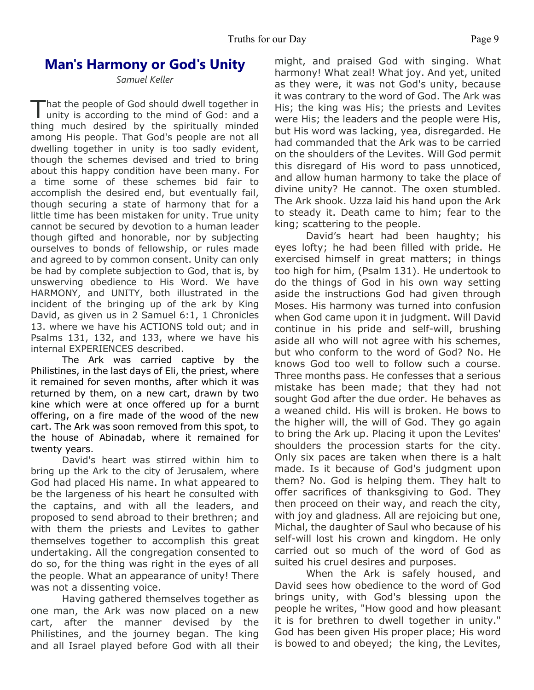# **Man's Harmony or God's Unity**

*Samuel Keller*

That the people of God should dwell together in<br>unity is according to the mind of God: and a hat the people of God should dwell together in thing much desired by the spiritually minded among His people. That God's people are not all dwelling together in unity is too sadly evident, though the schemes devised and tried to bring about this happy condition have been many. For a time some of these schemes bid fair to accomplish the desired end, but eventually fail, though securing a state of harmony that for a little time has been mistaken for unity. True unity cannot be secured by devotion to a human leader though gifted and honorable, nor by subjecting ourselves to bonds of fellowship, or rules made and agreed to by common consent. Unity can only be had by complete subjection to God, that is, by unswerving obedience to His Word. We have HARMONY, and UNITY, both illustrated in the incident of the bringing up of the ark by King David, as given us in 2 Samuel 6:1, 1 Chronicles 13. where we have his ACTIONS told out; and in Psalms 131, 132, and 133, where we have his internal EXPERIENCES described.

 The Ark was carried captive by the Philistines, in the last days of Eli, the priest, where it remained for seven months, after which it was returned by them, on a new cart, drawn by two kine which were at once offered up for a burnt offering, on a fire made of the wood of the new cart. The Ark was soon removed from this spot, to the house of Abinadab, where it remained for twenty years.

 David's heart was stirred within him to bring up the Ark to the city of Jerusalem, where God had placed His name. In what appeared to be the largeness of his heart he consulted with the captains, and with all the leaders, and proposed to send abroad to their brethren; and with them the priests and Levites to gather themselves together to accomplish this great undertaking. All the congregation consented to do so, for the thing was right in the eyes of all the people. What an appearance of unity! There was not a dissenting voice.

 Having gathered themselves together as one man, the Ark was now placed on a new cart, after the manner devised by the Philistines, and the journey began. The king and all Israel played before God with all their might, and praised God with singing. What harmony! What zeal! What joy. And yet, united as they were, it was not God's unity, because it was contrary to the word of God. The Ark was His; the king was His; the priests and Levites were His; the leaders and the people were His, but His word was lacking, yea, disregarded. He had commanded that the Ark was to be carried on the shoulders of the Levites. Will God permit this disregard of His word to pass unnoticed, and allow human harmony to take the place of divine unity? He cannot. The oxen stumbled. The Ark shook. Uzza laid his hand upon the Ark to steady it. Death came to him; fear to the king; scattering to the people.

 David's heart had been haughty; his eyes lofty; he had been filled with pride. He exercised himself in great matters; in things too high for him, (Psalm 131). He undertook to do the things of God in his own way setting aside the instructions God had given through Moses. His harmony was turned into confusion when God came upon it in judgment. Will David continue in his pride and self-will, brushing aside all who will not agree with his schemes, but who conform to the word of God? No. He knows God too well to follow such a course. Three months pass. He confesses that a serious mistake has been made; that they had not sought God after the due order. He behaves as a weaned child. His will is broken. He bows to the higher will, the will of God. They go again to bring the Ark up. Placing it upon the Levites' shoulders the procession starts for the city. Only six paces are taken when there is a halt made. Is it because of God's judgment upon them? No. God is helping them. They halt to offer sacrifices of thanksgiving to God. They then proceed on their way, and reach the city, with joy and gladness. All are rejoicing but one, Michal, the daughter of Saul who because of his self-will lost his crown and kingdom. He only carried out so much of the word of God as suited his cruel desires and purposes.

 When the Ark is safely housed, and David sees how obedience to the word of God brings unity, with God's blessing upon the people he writes, "How good and how pleasant it is for brethren to dwell together in unity." God has been given His proper place; His word is bowed to and obeyed; the king, the Levites,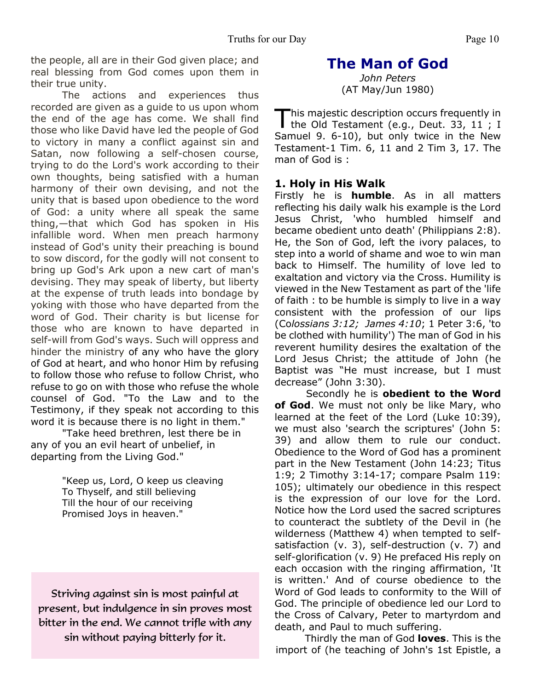the people, all are in their God given place; and real blessing from God comes upon them in their true unity.

 The actions and experiences thus recorded are given as a guide to us upon whom the end of the age has come. We shall find those who like David have led the people of God to victory in many a conflict against sin and Satan, now following a self-chosen course, trying to do the Lord's work according to their own thoughts, being satisfied with a human harmony of their own devising, and not the unity that is based upon obedience to the word of God: a unity where all speak the same thing,—that which God has spoken in His infallible word. When men preach harmony instead of God's unity their preaching is bound to sow discord, for the godly will not consent to bring up God's Ark upon a new cart of man's devising. They may speak of liberty, but liberty at the expense of truth leads into bondage by yoking with those who have departed from the word of God. Their charity is but license for those who are known to have departed in self-will from God's ways. Such will oppress and hinder the ministry of any who have the glory of God at heart, and who honor Him by refusing to follow those who refuse to follow Christ, who refuse to go on with those who refuse the whole counsel of God. "To the Law and to the Testimony, if they speak not according to this word it is because there is no light in them."

 "Take heed brethren, lest there be in any of you an evil heart of unbelief, in departing from the Living God."

> "Keep us, Lord, O keep us cleaving To Thyself, and still believing Till the hour of our receiving Promised Joys in heaven."

Striving against sin is most painful at present, but indulgence in sin proves most bitter in the end. We cannot trifle with any sin without paying bitterly for it.

# **The Man of God**

*John Peters* (AT May/Jun 1980)

This majestic description occurs frequently in<br>the Old Testament (e.g., Deut. 33, 11; I his majestic description occurs frequently in Samuel 9. 6-10), but only twice in the New Testament-1 Tim. 6, 11 and 2 Tim 3, 17. The man of God is :

#### **1. Holy in His Walk**

Firstly he is **humble**. As in all matters reflecting his daily walk his example is the Lord Jesus Christ, 'who humbled himself and became obedient unto death' (Philippians 2:8). He, the Son of God, left the ivory palaces, to step into a world of shame and woe to win man back to Himself. The humility of love led to exaltation and victory via the Cross. Humility is viewed in the New Testament as part of the 'life of faith : to be humble is simply to live in a way consistent with the profession of our lips (Co*lossians 3:12; James 4:10*; 1 Peter 3:6, 'to be clothed with humility') The man of God in his reverent humility desires the exaltation of the Lord Jesus Christ; the attitude of John (he Baptist was "He must increase, but I must decrease" (John 3:30).

Secondly he is **obedient to the Word of God**. We must not only be like Mary, who learned at the feet of the Lord (Luke 10:39), we must also 'search the scriptures' (John 5: 39) and allow them to rule our conduct. Obedience to the Word of God has a prominent part in the New Testament (John 14:23; Titus 1:9; 2 Timothy 3:14-17; compare Psalm 119: 105); ultimately our obedience in this respect is the expression of our love for the Lord. Notice how the Lord used the sacred scriptures to counteract the subtlety of the Devil in (he wilderness (Matthew 4) when tempted to selfsatisfaction (v. 3), self-destruction (v. 7) and self-glorification (v. 9) He prefaced His reply on each occasion with the ringing affirmation, 'It is written.' And of course obedience to the Word of God leads to conformity to the Will of God. The principle of obedience led our Lord to the Cross of Calvary, Peter to martyrdom and death, and Paul to much suffering.

Thirdly the man of God **loves**. This is the import of (he teaching of John's 1st Epistle, a